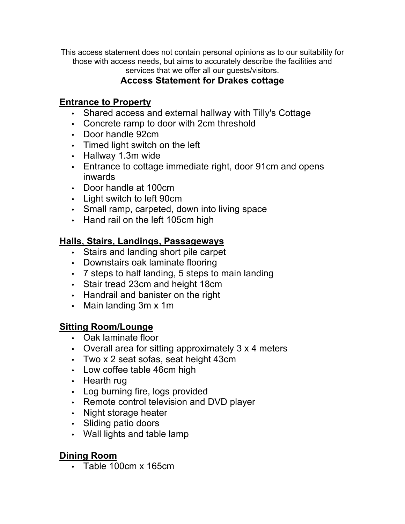This access statement does not contain personal opinions as to our suitability for those with access needs, but aims to accurately describe the facilities and services that we offer all our guests/visitors.

# **Access Statement for Drakes cottage**

### **Entrance to Property**

- Shared access and external hallway with Tilly's Cottage
- Concrete ramp to door with 2cm threshold
- Door handle 92cm
- Timed light switch on the left
- Hallway 1.3m wide
- Entrance to cottage immediate right, door 91cm and opens inwards
- Door handle at 100cm
- Light switch to left 90cm
- Small ramp, carpeted, down into living space
- Hand rail on the left 105cm high

## **Halls, Stairs, Landings, Passageways**

- Stairs and landing short pile carpet
- Downstairs oak laminate flooring
- 7 steps to half landing, 5 steps to main landing
- Stair tread 23cm and height 18cm
- Handrail and banister on the right
- Main landing 3m x 1m

### **Sitting Room/Lounge**

- Oak laminate floor
- Overall area for sitting approximately 3 x 4 meters
- Two x 2 seat sofas, seat height 43cm
- Low coffee table 46cm high
- Hearth rug
- Log burning fire, logs provided
- Remote control television and DVD player
- Night storage heater
- Sliding patio doors
- Wall lights and table lamp

# **Dining Room**

• Table 100cm x 165cm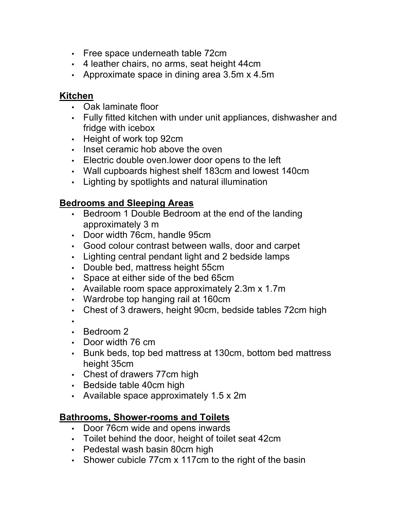- Free space underneath table 72cm
- 4 leather chairs, no arms, seat height 44cm
- Approximate space in dining area 3.5m x 4.5m

#### **Kitchen**

- Oak laminate floor
- Fully fitted kitchen with under unit appliances, dishwasher and fridge with icebox
- Height of work top 92cm
- Inset ceramic hob above the oven
- Electric double oven.lower door opens to the left
- Wall cupboards highest shelf 183cm and lowest 140cm
- Lighting by spotlights and natural illumination

## **Bedrooms and Sleeping Areas**

- Bedroom 1 Double Bedroom at the end of the landing approximately 3 m
- Door width 76cm, handle 95cm
- Good colour contrast between walls, door and carpet
- Lighting central pendant light and 2 bedside lamps
- Double bed, mattress height 55cm
- Space at either side of the bed 65cm
- Available room space approximately 2.3m x 1.7m
- Wardrobe top hanging rail at 160cm
- Chest of 3 drawers, height 90cm, bedside tables 72cm high

•

- Bedroom 2
- Door width 76 cm
- Bunk beds, top bed mattress at 130cm, bottom bed mattress height 35cm
- Chest of drawers 77cm high
- Bedside table 40cm high
- Available space approximately 1.5 x 2m

## **Bathrooms, Shower-rooms and Toilets**

- Door 76cm wide and opens inwards
- Toilet behind the door, height of toilet seat 42cm
- Pedestal wash basin 80cm high
- Shower cubicle 77cm x 117cm to the right of the basin